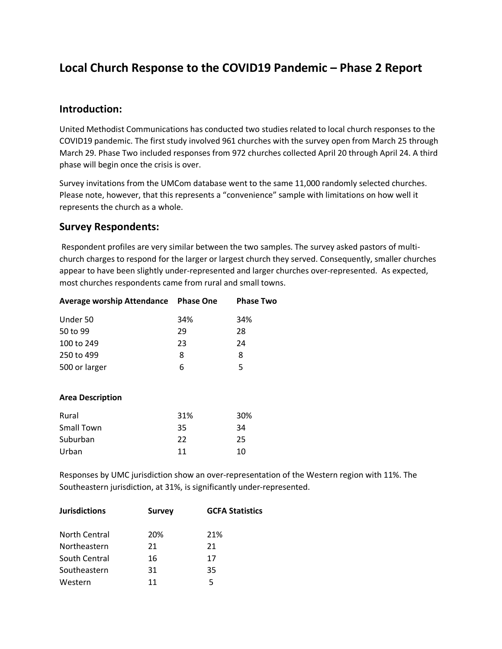## **Local Church Response to the COVID19 Pandemic – Phase 2 Report**

#### **Introduction:**

United Methodist Communications has conducted two studies related to local church responses to the COVID19 pandemic. The first study involved 961 churches with the survey open from March 25 through March 29. Phase Two included responses from 972 churches collected April 20 through April 24. A third phase will begin once the crisis is over.

Survey invitations from the UMCom database went to the same 11,000 randomly selected churches. Please note, however, that this represents a "convenience" sample with limitations on how well it represents the church as a whole.

#### **Survey Respondents:**

Respondent profiles are very similar between the two samples. The survey asked pastors of multichurch charges to respond for the larger or largest church they served. Consequently, smaller churches appear to have been slightly under-represented and larger churches over-represented. As expected, most churches respondents came from rural and small towns.

| Average worship Attendance Phase One |     | <b>Phase Two</b> |
|--------------------------------------|-----|------------------|
| Under 50                             | 34% | 34%              |
| 50 to 99                             | 29  | 28               |
| 100 to 249                           | 23  | 24               |
| 250 to 499                           | 8   | 8                |
| 500 or larger                        | 6   | 5                |
|                                      |     |                  |
| <b>Area Description</b>              |     |                  |
| Rural                                | 31% | 30%              |
| <b>Small Town</b>                    | 35  | 34               |
| Suburban                             | 22  | 25               |
| Urban                                | 11  | 10               |

Responses by UMC jurisdiction show an over-representation of the Western region with 11%. The Southeastern jurisdiction, at 31%, is significantly under-represented.

| <b>Jurisdictions</b> | <b>Survey</b> | <b>GCFA Statistics</b> |  |
|----------------------|---------------|------------------------|--|
| North Central        | 20%           | 21%                    |  |
| Northeastern         | 21            | 21                     |  |
| South Central        | 16            | 17                     |  |
| Southeastern         | 31            | 35                     |  |
| Western              | 11            | 5                      |  |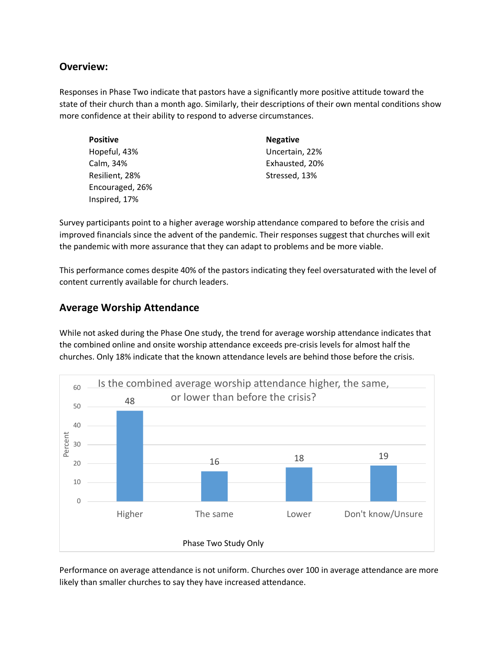#### **Overview:**

Responses in Phase Two indicate that pastors have a significantly more positive attitude toward the state of their church than a month ago. Similarly, their descriptions of their own mental conditions show more confidence at their ability to respond to adverse circumstances.

| <b>Positive</b> | <b>Negative</b> |
|-----------------|-----------------|
| Hopeful, 43%    | Uncertain, 22%  |
| Calm, 34%       | Exhausted, 20%  |
| Resilient, 28%  | Stressed, 13%   |
| Encouraged, 26% |                 |
| Inspired, 17%   |                 |

Survey participants point to a higher average worship attendance compared to before the crisis and improved financials since the advent of the pandemic. Their responses suggest that churches will exit the pandemic with more assurance that they can adapt to problems and be more viable.

This performance comes despite 40% of the pastors indicating they feel oversaturated with the level of content currently available for church leaders.

## **Average Worship Attendance**

While not asked during the Phase One study, the trend for average worship attendance indicates that the combined online and onsite worship attendance exceeds pre-crisis levels for almost half the churches. Only 18% indicate that the known attendance levels are behind those before the crisis.



Performance on average attendance is not uniform. Churches over 100 in average attendance are more likely than smaller churches to say they have increased attendance.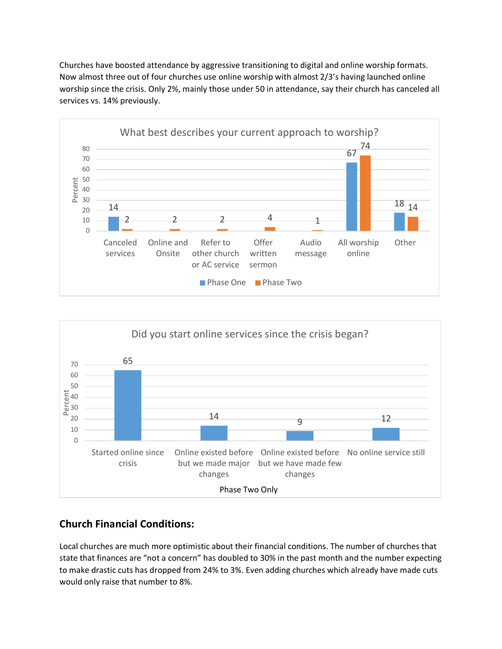Churches have boosted attendance by aggressive transitioning to digital and online worship formats. Now almost three out of four churches use online worship with almost 2/3's having launched online worship since the crisis. Only 2%, mainly those under 50 in attendance, say their church has canceled all services vs. 14% previously.





## **Church Financial Conditions:**

Local churches are much more optimistic about their financial conditions. The number of churches that state that finances are "not a concern" has doubled to 30% in the past month and the number expecting to make drastic cuts has dropped from 24% to 3%. Even adding churches which already have made cuts would only raise that number to 8%.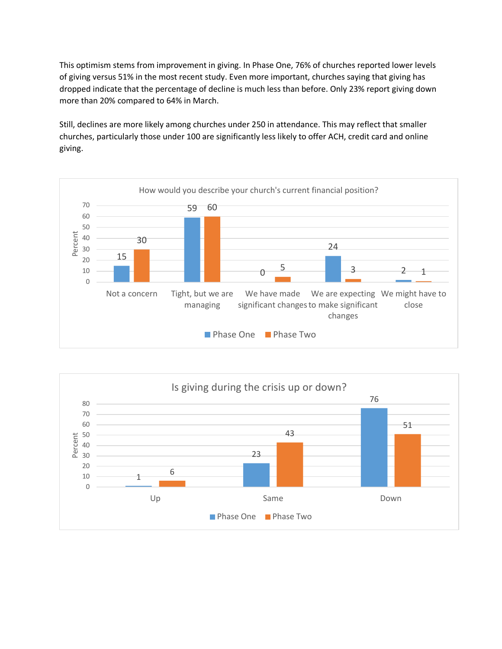This optimism stems from improvement in giving. In Phase One, 76% of churches reported lower levels of giving versus 51% in the most recent study. Even more important, churches saying that giving has dropped indicate that the percentage of decline is much less than before. Only 23% report giving down more than 20% compared to 64% in March.

Still, declines are more likely among churches under 250 in attendance. This may reflect that smaller churches, particularly those under 100 are significantly less likely to offer ACH, credit card and online giving.



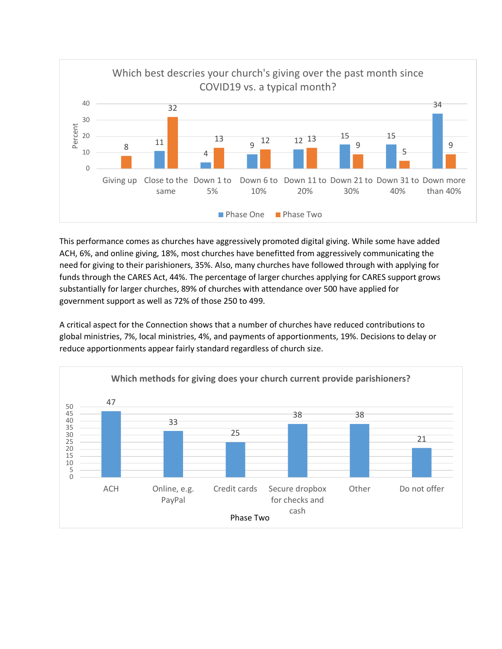

This performance comes as churches have aggressively promoted digital giving. While some have added ACH, 6%, and online giving, 18%, most churches have benefitted from aggressively communicating the need for giving to their parishioners, 35%. Also, many churches have followed through with applying for funds through the CARES Act, 44%. The percentage of larger churches applying for CARES support grows substantially for larger churches, 89% of churches with attendance over 500 have applied for government support as well as 72% of those 250 to 499.

A critical aspect for the Connection shows that a number of churches have reduced contributions to global ministries, 7%, local ministries, 4%, and payments of apportionments, 19%. Decisions to delay or reduce apportionments appear fairly standard regardless of church size.

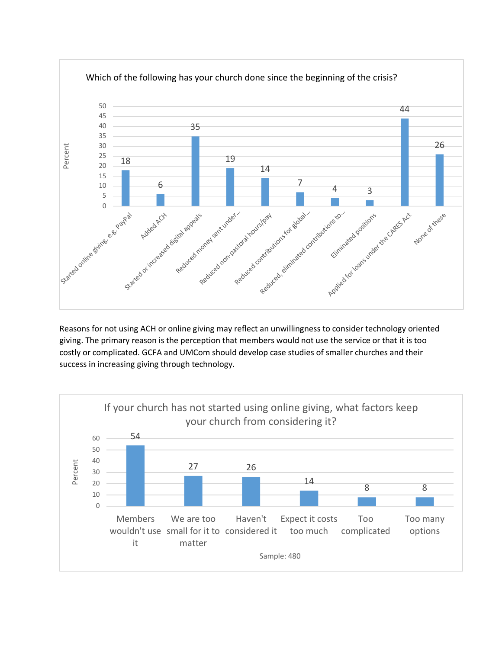

Reasons for not using ACH or online giving may reflect an unwillingness to consider technology oriented giving. The primary reason is the perception that members would not use the service or that it is too costly or complicated. GCFA and UMCom should develop case studies of smaller churches and their success in increasing giving through technology.

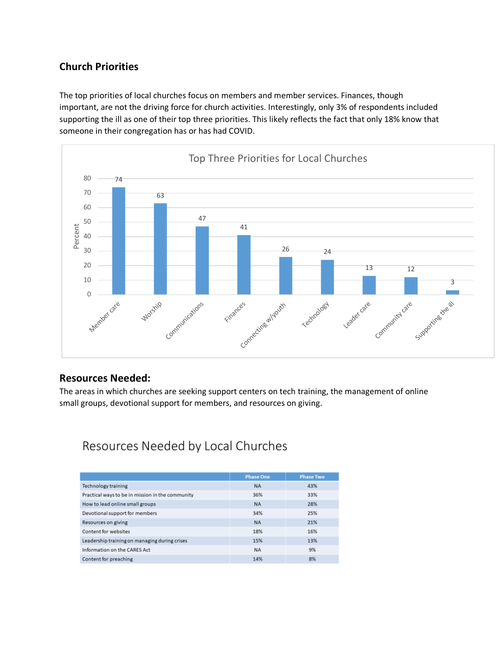## **Church Priorities**

The top priorities of local churches focus on members and member services. Finances, though important, are not the driving force for church activities. Interestingly, only 3% of respondents included supporting the ill as one of their top three priorities. This likely reflects the fact that only 18% know that someone in their congregation has or has had COVID.



#### **Resources Needed:**

The areas in which churches are seeking support centers on tech training, the management of online small groups, devotional support for members, and resources on giving.

# Resources Needed by Local Churches

|                                                  | <b>Phase One</b> | <b>Phase Two</b> |
|--------------------------------------------------|------------------|------------------|
| Technology training                              | <b>NA</b>        | 43%              |
| Practical ways to be in mission in the community | 36%              | 33%              |
| How to lead online small groups                  | <b>NA</b>        | 28%              |
| Devotional support for members                   | 34%              | 25%              |
| Resources on giving                              | <b>NA</b>        | 21%              |
| Content for websites                             | 18%              | 16%              |
| Leadership training on managing during crises    | 15%              | 13%              |
| Information on the CARES Act                     | <b>NA</b>        | 9%               |
| Content for preaching                            | 14%              | 8%               |